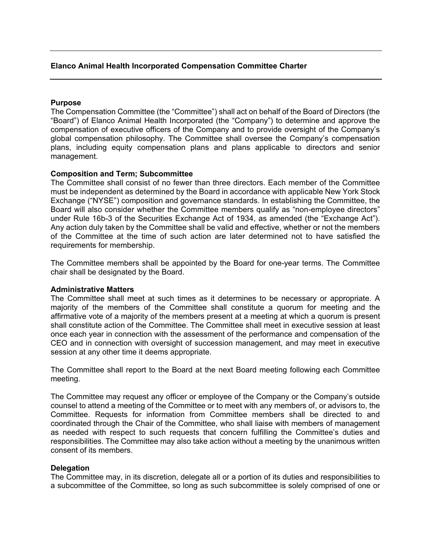# **Elanco Animal Health Incorporated Compensation Committee Charter**

### **Purpose**

The Compensation Committee (the "Committee") shall act on behalf of the Board of Directors (the "Board") of Elanco Animal Health Incorporated (the "Company") to determine and approve the compensation of executive officers of the Company and to provide oversight of the Company's global compensation philosophy. The Committee shall oversee the Company's compensation plans, including equity compensation plans and plans applicable to directors and senior management.

### **Composition and Term; Subcommittee**

The Committee shall consist of no fewer than three directors. Each member of the Committee must be independent as determined by the Board in accordance with applicable New York Stock Exchange ("NYSE") composition and governance standards. In establishing the Committee, the Board will also consider whether the Committee members qualify as "non-employee directors" under Rule 16b-3 of the Securities Exchange Act of 1934, as amended (the "Exchange Act"). Any action duly taken by the Committee shall be valid and effective, whether or not the members of the Committee at the time of such action are later determined not to have satisfied the requirements for membership.

The Committee members shall be appointed by the Board for one-year terms. The Committee chair shall be designated by the Board.

#### **Administrative Matters**

The Committee shall meet at such times as it determines to be necessary or appropriate. A majority of the members of the Committee shall constitute a quorum for meeting and the affirmative vote of a majority of the members present at a meeting at which a quorum is present shall constitute action of the Committee. The Committee shall meet in executive session at least once each year in connection with the assessment of the performance and compensation of the CEO and in connection with oversight of succession management, and may meet in executive session at any other time it deems appropriate.

The Committee shall report to the Board at the next Board meeting following each Committee meeting.

The Committee may request any officer or employee of the Company or the Company's outside counsel to attend a meeting of the Committee or to meet with any members of, or advisors to, the Committee. Requests for information from Committee members shall be directed to and coordinated through the Chair of the Committee, who shall liaise with members of management as needed with respect to such requests that concern fulfilling the Committee's duties and responsibilities. The Committee may also take action without a meeting by the unanimous written consent of its members.

#### **Delegation**

The Committee may, in its discretion, delegate all or a portion of its duties and responsibilities to a subcommittee of the Committee, so long as such subcommittee is solely comprised of one or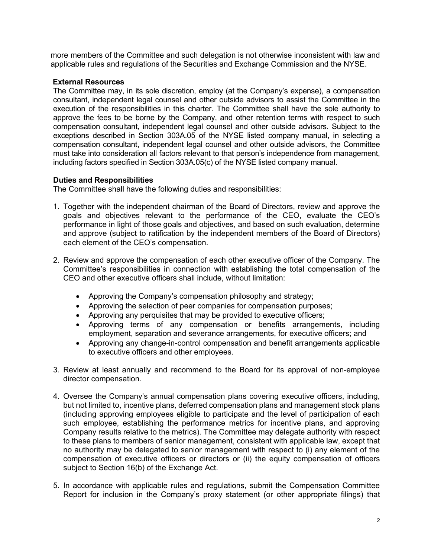more members of the Committee and such delegation is not otherwise inconsistent with law and applicable rules and regulations of the Securities and Exchange Commission and the NYSE.

# **External Resources**

The Committee may, in its sole discretion, employ (at the Company's expense), a compensation consultant, independent legal counsel and other outside advisors to assist the Committee in the execution of the responsibilities in this charter. The Committee shall have the sole authority to approve the fees to be borne by the Company, and other retention terms with respect to such compensation consultant, independent legal counsel and other outside advisors. Subject to the exceptions described in Section 303A.05 of the NYSE listed company manual, in selecting a compensation consultant, independent legal counsel and other outside advisors, the Committee must take into consideration all factors relevant to that person's independence from management, including factors specified in Section 303A.05(c) of the NYSE listed company manual.

## **Duties and Responsibilities**

The Committee shall have the following duties and responsibilities:

- 1. Together with the independent chairman of the Board of Directors, review and approve the goals and objectives relevant to the performance of the CEO, evaluate the CEO's performance in light of those goals and objectives, and based on such evaluation, determine and approve (subject to ratification by the independent members of the Board of Directors) each element of the CEO's compensation.
- 2. Review and approve the compensation of each other executive officer of the Company. The Committee's responsibilities in connection with establishing the total compensation of the CEO and other executive officers shall include, without limitation:
	- Approving the Company's compensation philosophy and strategy;
	- Approving the selection of peer companies for compensation purposes;
	- Approving any perquisites that may be provided to executive officers;
	- Approving terms of any compensation or benefits arrangements, including employment, separation and severance arrangements, for executive officers; and
	- Approving any change-in-control compensation and benefit arrangements applicable to executive officers and other employees.
- 3. Review at least annually and recommend to the Board for its approval of non-employee director compensation.
- 4. Oversee the Company's annual compensation plans covering executive officers, including, but not limited to, incentive plans, deferred compensation plans and management stock plans (including approving employees eligible to participate and the level of participation of each such employee, establishing the performance metrics for incentive plans, and approving Company results relative to the metrics). The Committee may delegate authority with respect to these plans to members of senior management, consistent with applicable law, except that no authority may be delegated to senior management with respect to (i) any element of the compensation of executive officers or directors or (ii) the equity compensation of officers subject to Section 16(b) of the Exchange Act.
- 5. In accordance with applicable rules and regulations, submit the Compensation Committee Report for inclusion in the Company's proxy statement (or other appropriate filings) that